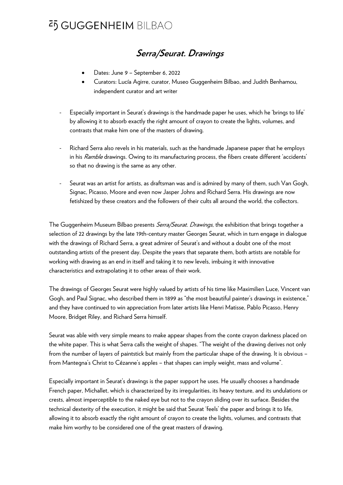## **Serra/Seurat. Drawings**

- Dates: June 9 September 6, 2022
- Curators: Lucía Agirre, curator, Museo Guggenheim Bilbao, and Judith Benhamou, independent curator and art writer
- Especially important in Seurat's drawings is the handmade paper he uses, which he 'brings to life' by allowing it to absorb exactly the right amount of crayon to create the lights, volumes, and contrasts that make him one of the masters of drawing.
- Richard Serra also revels in his materials, such as the handmade Japanese paper that he employs in his Ramble drawings. Owing to its manufacturing process, the fibers create different 'accidents' so that no drawing is the same as any other.
- Seurat was an artist for artists, as draftsman was and is admired by many of them, such Van Gogh, Signac, Picasso, Moore and even now Jasper Johns and Richard Serra. His drawings are now fetishized by these creators and the followers of their cults all around the world, the collectors.

The Guggenheim Museum Bilbao presents *Serra/Seurat. Drawings*, the exhibition that brings together a selection of 22 drawings by the late 19th-century master Georges Seurat, which in turn engage in dialogue with the drawings of Richard Serra, a great admirer of Seurat's and without a doubt one of the most outstanding artists of the present day. Despite the years that separate them, both artists are notable for working with drawing as an end in itself and taking it to new levels, imbuing it with innovative characteristics and extrapolating it to other areas of their work.

The drawings of Georges Seurat were highly valued by artists of his time like Maximilien Luce, Vincent van Gogh, and Paul Signac, who described them in 1899 as "the most beautiful painter's drawings in existence," and they have continued to win appreciation from later artists like Henri Matisse, Pablo Picasso, Henry Moore, Bridget Riley, and Richard Serra himself.

Seurat was able with very simple means to make appear shapes from the conte crayon darkness placed on the white paper. This is what Serra calls the weight of shapes. "The weight of the drawing derives not only from the number of layers of paintstick but mainly from the particular shape of the drawing. It is obvious – from Mantegna's Christ to Cézanne's apples – that shapes can imply weight, mass and volume".

Especially important in Seurat's drawings is the paper support he uses. He usually chooses a handmade French paper, Michallet, which is characterized by its irregularities, its heavy texture, and its undulations or crests, almost imperceptible to the naked eye but not to the crayon sliding over its surface. Besides the technical dexterity of the execution, it might be said that Seurat 'feels' the paper and brings it to life, allowing it to absorb exactly the right amount of crayon to create the lights, volumes, and contrasts that make him worthy to be considered one of the great masters of drawing.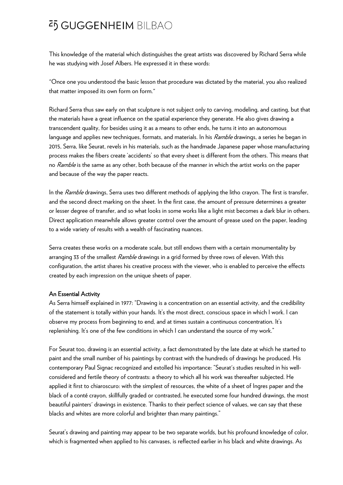This knowledge of the material which distinguishes the great artists was discovered by Richard Serra while he was studying with Josef Albers. He expressed it in these words:

"Once one you understood the basic lesson that procedure was dictated by the material, you also realized that matter imposed its own form on form."

Richard Serra thus saw early on that sculpture is not subject only to carving, modeling, and casting, but that the materials have a great influence on the spatial experience they generate. He also gives drawing a transcendent quality, for besides using it as a means to other ends, he turns it into an autonomous language and applies new technigues, formats, and materials. In his *Ramble* drawings, a series he began in 2015, Serra, like Seurat, revels in his materials, such as the handmade Japanese paper whose manufacturing process makes the fibers create 'accidents' so that every sheet is different from the others. This means that no Ramble is the same as any other, both because of the manner in which the artist works on the paper and because of the way the paper reacts.

In the *Ramble* drawings, Serra uses two different methods of applying the litho crayon. The first is transfer, and the second direct marking on the sheet. In the first case, the amount of pressure determines a greater or lesser degree of transfer, and so what looks in some works like a light mist becomes a dark blur in others. Direct application meanwhile allows greater control over the amount of grease used on the paper, leading to a wide variety of results with a wealth of fascinating nuances.

Serra creates these works on a moderate scale, but still endows them with a certain monumentality by arranging 33 of the smallest Ramble drawings in a grid formed by three rows of eleven. With this configuration, the artist shares his creative process with the viewer, who is enabled to perceive the effects created by each impression on the unique sheets of paper.

#### An Essential Activity

As Serra himself explained in 1977: "Drawing is a concentration on an essential activity, and the credibility of the statement is totally within your hands. It's the most direct, conscious space in which I work. I can observe my process from beginning to end, and at times sustain a continuous concentration. It's replenishing. It's one of the few conditions in which I can understand the source of my work."

For Seurat too, drawing is an essential activity, a fact demonstrated by the late date at which he started to paint and the small number of his paintings by contrast with the hundreds of drawings he produced. His contemporary Paul Signac recognized and extolled his importance: "Seurat's studies resulted in his wellconsidered and fertile theory of contrasts: a theory to which all his work was thereafter subjected. He applied it first to chiaroscuro: with the simplest of resources, the white of a sheet of Ingres paper and the black of a conté crayon, skillfully graded or contrasted, he executed some four hundred drawings, the most beautiful painters' drawings in existence. Thanks to their perfect science of values, we can say that these blacks and whites are more colorful and brighter than many paintings."

Seurat's drawing and painting may appear to be two separate worlds, but his profound knowledge of color, which is fragmented when applied to his canvases, is reflected earlier in his black and white drawings. As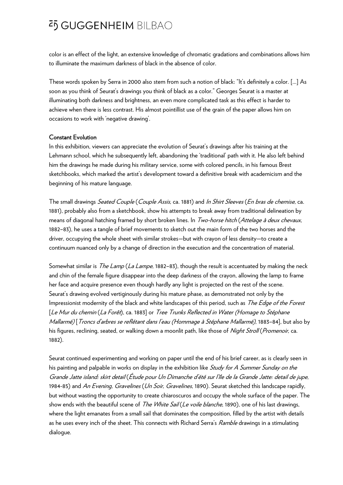color is an effect of the light, an extensive knowledge of chromatic gradations and combinations allows him to illuminate the maximum darkness of black in the absence of color.

These words spoken by Serra in 2000 also stem from such a notion of black: "It's definitely a color. [...] As soon as you think of Seurat's drawings you think of black as a color." Georges Seurat is a master at illuminating both darkness and brightness, an even more complicated task as this effect is harder to achieve when there is less contrast. His almost pointillist use of the grain of the paper allows him on occasions to work with 'negative drawing'.

#### Constant Evolution

In this exhibition, viewers can appreciate the evolution of Seurat's drawings after his training at the Lehmann school, which he subsequently left, abandoning the 'traditional' path with it. He also left behind him the drawings he made during his military service, some with colored pencils, in his famous Brest sketchbooks, which marked the artist's development toward a definitive break with academicism and the beginning of his mature language.

The small drawings Seated Couple (Couple Assis, ca. 1881) and In Shirt Sleeves (En bras de chemise, ca. 1881), probably also from a sketchbook, show his attempts to break away from traditional delineation by means of diagonal hatching framed by short broken lines. In Two-horse hitch (Attelage à deux chevaux, 1882–83), he uses a tangle of brief movements to sketch out the main form of the two horses and the driver, occupying the whole sheet with similar strokes—but with crayon of less density—to create a continuum nuanced only by a change of direction in the execution and the concentration of material.

Somewhat similar is *The Lamp (La Lampe*, 1882–83), though the result is accentuated by making the neck and chin of the female figure disappear into the deep darkness of the crayon, allowing the lamp to frame her face and acquire presence even though hardly any light is projected on the rest of the scene. Seurat's drawing evolved vertiginously during his mature phase, as demonstrated not only by the Impressionist modernity of the black and white landscapes of this period, such as The Edge of the Forest [Le Mur du chemin (La Forêt), ca. 1883] or Tree Trunks Reflected in Water (Homage to Stéphane Mallarmé) [Troncs d'arbres se reflétant dans l'eau (Hommage à Stéphane Mallarmé), 1883–84], but also by his figures, reclining, seated, or walking down a moonlit path, like those of Night Stroll (Promenoir, ca. 1882).

Seurat continued experimenting and working on paper until the end of his brief career, as is clearly seen in his painting and palpable in works on display in the exhibition like Study for A Summer Sunday on the Grande Jatte island: skirt detail (Étude pour Un Dimanche d'été sur l'île de la Grande Jatte: detail de jupe, 1984-85) and An Evening, Gravelines (Un Soir, Gravelines, 1890). Seurat sketched this landscape rapidly, but without wasting the opportunity to create chiaroscuros and occupy the whole surface of the paper. The show ends with the beautiful scene of *The White Sail (Le voile blanche*, 1890), one of his last drawings, where the light emanates from a small sail that dominates the composition, filled by the artist with details as he uses every inch of the sheet. This connects with Richard Serra's Ramble drawings in a stimulating dialogue.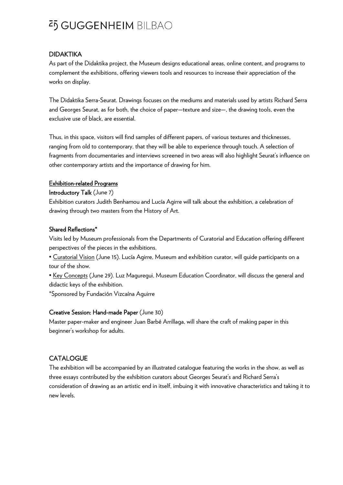### DIDAKTIKA

As part of the Didaktika project, the Museum designs educational areas, online content, and programs to complement the exhibitions, offering viewers tools and resources to increase their appreciation of the works on display.

The Didaktika Serra-Seurat. Drawings focuses on the mediums and materials used by artists Richard Serra and Georges Seurat, as for both, the choice of paper—texture and size—, the drawing tools, even the exclusive use of black, are essential.

Thus, in this space, visitors will find samples of different papers, of various textures and thicknesses, ranging from old to contemporary, that they will be able to experience through touch. A selection of fragments from documentaries and interviews screened in two areas will also highlight Seurat's influence on other contemporary artists and the importance of drawing for him.

#### Exhibition-related Programs

Introductory Talk (June 7)

Exhibition curators Judith Benhamou and Lucía Agirre will talk about the exhibition, a celebration of drawing through two masters from the History of Art.

### Shared Reflections\*

Visits led by Museum professionals from the Departments of Curatorial and Education offering different perspectives of the pieces in the exhibitions.

• Curatorial Vision (June 15). Lucía Agirre, Museum and exhibition curator, will guide participants on a tour of the show.

• Key Concepts (June 29). Luz Maguregui, Museum Education Coordinator, will discuss the general and didactic keys of the exhibition.

\*Sponsored by Fundación Vizcaína Aguirre

#### Creative Session: Hand-made Paper (June 30)

Master paper-maker and engineer Juan Barbé Arrillaga, will share the craft of making paper in this beginner's workshop for adults.

## **CATALOGUE**

The exhibition will be accompanied by an illustrated catalogue featuring the works in the show, as well as three essays contributed by the exhibition curators about Georges Seurat's and Richard Serra's consideration of drawing as an artistic end in itself, imbuing it with innovative characteristics and taking it to new levels.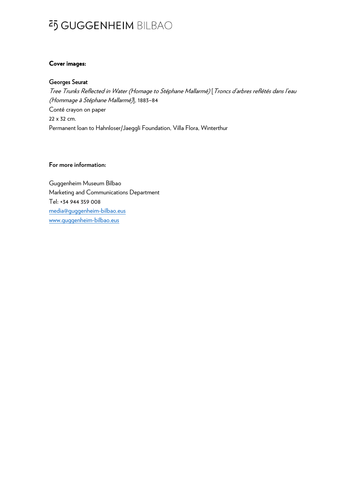#### **Cover images:**

### Georges Seurat

Tree Trunks Reflected in Water (Homage to Stéphane Mallarmé) [Troncs d'arbres reflétés dans l'eau (Hommage à Stéphane Mallarmé)], 1883–84 Conté crayon on paper 22 x 32 cm. Permanent loan to Hahnloser/Jaeggli Foundation, Villa Flora, Winterthur

#### **For more information:**

Guggenheim Museum Bilbao Marketing and Communications Department Tel: +34 944 359 008 media@guggenheim-bilbao.eus www.guggenheim-bilbao.eus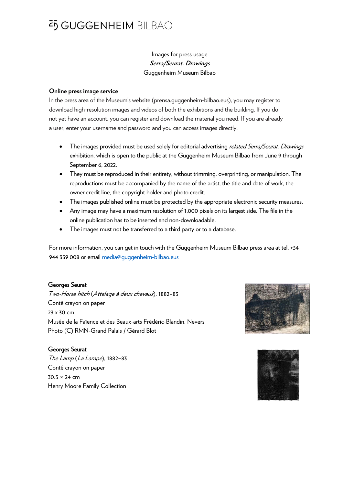## Images for press usage **Serra/Seurat. Drawings**  Guggenheim Museum Bilbao

#### **Online press image service**

In the press area of the Museum's website (prensa.guggenheim-bilbao.eus), you may register to download high-resolution images and videos of both the exhibitions and the building. If you do not yet have an account, you can register and download the material you need. If you are already a user, enter your username and password and you can access images directly.

- The images provided must be used solely for editorial advertising *related Serra/Seurat. Drawings* exhibition, which is open to the public at the Guggenheim Museum Bilbao from June 9 through September 6, 2022.
- They must be reproduced in their entirety, without trimming, overprinting, or manipulation. The reproductions must be accompanied by the name of the artist, the title and date of work, the owner credit line, the copyright holder and photo credit.
- The images published online must be protected by the appropriate electronic security measures.
- Any image may have a maximum resolution of 1,000 pixels on its largest side. The file in the online publication has to be inserted and non-downloadable.
- The images must not be transferred to a third party or to a database.

For more information, you can get in touch with the Guggenheim Museum Bilbao press area at tel. +34 944 359 008 or email media@guggenheim-bilbao.eus

#### Georges Seurat

Two-Horse hitch (Attelage à deux chevaux), 1882–83 Conté crayon on paper 23 x 30 cm Musée de la Faïence et des Beaux-arts Frédéric-Blandin, Nevers Photo (C) RMN-Grand Palais / Gérard Blot

### Georges Seurat

The Lamp (La Lampe), 1882–83 Conté crayon on paper 30.5 × 24 cm Henry Moore Family Collection



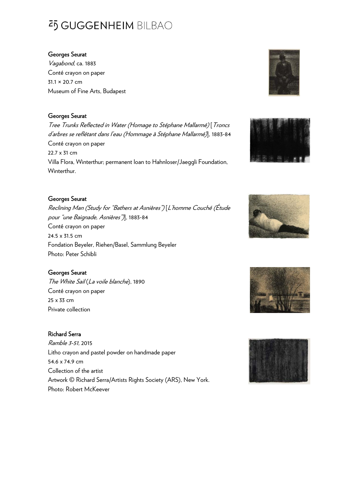### Georges Seurat

Vagabond, ca. 1883 Conté crayon on paper 31.1 × 20.7 cm Museum of Fine Arts, Budapest

## Georges Seurat

Tree Trunks Reflected in Water (Homage to Stéphane Mallarmé) [Troncs d'arbres se reflétant dans l'eau (Hommage à Stéphane Mallarmé)], 1883-84 Conté crayon on paper 22.7 x 31 cm Villa Flora, Winterthur; permanent loan to Hahnloser/Jaeggli Foundation, Winterthur.

## Georges Seurat

Reclining Man (Study for "Bathers at Asnières") [L'homme Couché (Étude pour "une Baignade, Asnières")], 1883-84 Conté crayon on paper 24.5 x 31.5 cm Fondation Beyeler, Riehen/Basel, Sammlung Beyeler Photo: Peter Schibli

## Georges Seurat

The White Sail (La voile blanche), 1890 Conté crayon on paper 25 x 33 cm Private collection

### Richard Serra

Ramble 3-51, 2015 Litho crayon and pastel powder on handmade paper 54.6 x 74.9 cm Collection of the artist Artwork © Richard Serra/Artists Rights Society (ARS), New York. Photo: Robert McKeever